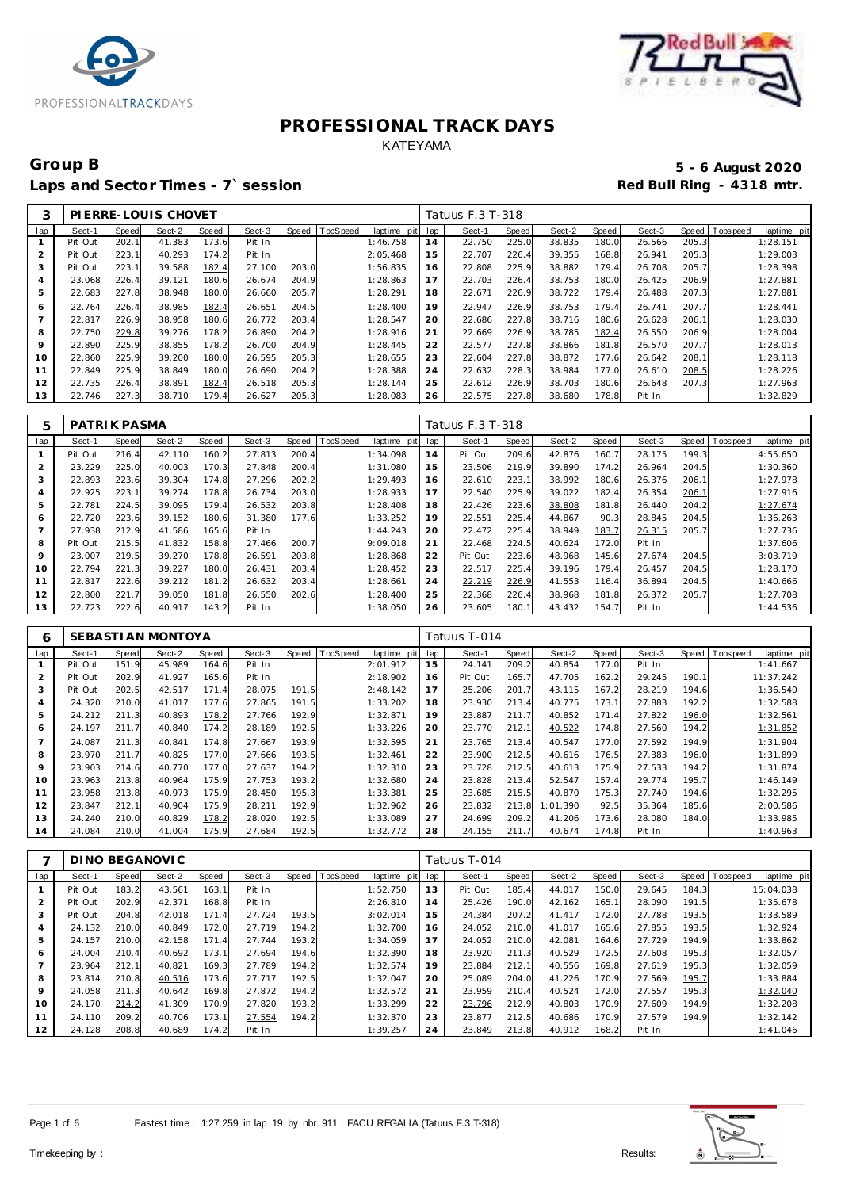



## Group B<br> **Example 2020**<br>
Laps and Sector Times - 7`session<br> **5 - 6 August 2020**<br>
Red Bull Ring - 4318 mtr. Laps and Sector Times - 7`session

|     |         |       | PIERRE-LOUIS CHOVET |       |        |       |                 |             |     | Tatuus F.3 T-318 |       |        |       |        |       |                 |             |
|-----|---------|-------|---------------------|-------|--------|-------|-----------------|-------------|-----|------------------|-------|--------|-------|--------|-------|-----------------|-------------|
| lap | Sect-1  | Speed | Sect-2              | Speed | Sect-3 | Speed | <b>TopSpeed</b> | laptime pit | lap | Sect-1           | Speed | Sect-2 | Speed | Sect-3 |       | Speed Tops peed | laptime pit |
|     | Pit Out | 202.1 | 41.383              | 173.6 | Pit In |       |                 | 1:46.758    | 14  | 22.750           | 225.0 | 38.835 | 180.0 | 26.566 | 205.3 |                 | 1:28.151    |
| 2   | Pit Out | 223.1 | 40.293              | 174.2 | Pit In |       |                 | 2:05.468    | 15  | 22.707           | 226.4 | 39.355 | 168.8 | 26.941 | 205.3 |                 | 1:29.003    |
|     | Pit Out | 223.1 | 39.588              | 182.4 | 27.100 | 203.0 |                 | 1:56.835    | 16  | 22.808           | 225.9 | 38.882 | 179.4 | 26.708 | 205.7 |                 | 1:28.398    |
| 4   | 23.068  | 226.4 | 39.121              | 180.6 | 26.674 | 204.9 |                 | 1:28.863    | 17  | 22.703           | 226.4 | 38.753 | 180.0 | 26.425 | 206.9 |                 | 1:27.881    |
| 5   | 22.683  | 227.8 | 38.948              | 180.0 | 26.660 | 205.7 |                 | 1:28.291    | 18  | 22.671           | 226.9 | 38.722 | 179.4 | 26.488 | 207.3 |                 | 1:27.881    |
| 6   | 22.764  | 226.4 | 38.985              | 182.4 | 26.651 | 204.5 |                 | 1:28.400    | 19  | 22.947           | 226.9 | 38.753 | 179.4 | 26.741 | 207.7 |                 | 1:28.441    |
|     | 22.817  | 226.9 | 38.958              | 180.6 | 26.772 | 203.4 |                 | 1:28.547    | 20  | 22.686           | 227.8 | 38.716 | 180.6 | 26.628 | 206.1 |                 | 1:28.030    |
| 8   | 22.750  | 229.8 | 39.276              | 178.2 | 26.890 | 204.2 |                 | 1:28.916    | 21  | 22.669           | 226.9 | 38.785 | 182.4 | 26.550 | 206.9 |                 | 1:28.004    |
| 9   | 22.890  | 225.9 | 38.855              | 178.2 | 26.700 | 204.9 |                 | 1:28.445    | 22  | 22.577           | 227.8 | 38.866 | 181.8 | 26.570 | 207.7 |                 | 1:28.013    |
| 10  | 22.860  | 225.9 | 39.200              | 180.0 | 26.595 | 205.3 |                 | 1:28.655    | 23  | 22.604           | 227.8 | 38.872 | 177.6 | 26.642 | 208.1 |                 | 1:28.118    |
| 11  | 22.849  | 225.9 | 38.849              | 180.0 | 26.690 | 204.2 |                 | 1:28.388    | 24  | 22.632           | 228.3 | 38.984 | 177.0 | 26.610 | 208.5 |                 | 1:28.226    |
| 12  | 22.735  | 226.4 | 38.891              | 182.4 | 26.518 | 205.3 |                 | 1:28.144    | 25  | 22.612           | 226.9 | 38.703 | 180.6 | 26.648 | 207.3 |                 | 1:27.963    |
| 13  | 22.746  | 227.3 | 38.710              | 179.4 | 26.627 | 205.3 |                 | 1:28.083    | 26  | 22.575           | 227.8 | 38.680 | 178.8 | Pit In |       |                 | 1:32.829    |

| 5   | PATRIK PASMA |       |        |       |        |       |          |             |     | Tatuus F.3 T-318 |       |        |       |        |       |                |             |
|-----|--------------|-------|--------|-------|--------|-------|----------|-------------|-----|------------------|-------|--------|-------|--------|-------|----------------|-------------|
| lap | Sect-1       | Speed | Sect-2 | Speed | Sect-3 | Speed | TopSpeed | laptime pit | lap | Sect-1           | Speed | Sect-2 | Speed | Sect-3 |       | Speed Topspeed | laptime pit |
|     | Pit Out      | 216.4 | 42.110 | 160.2 | 27.813 | 200.4 |          | 1:34.098    | 14  | Pit Out          | 209.6 | 42.876 | 160.7 | 28.175 | 199.3 |                | 4:55.650    |
| 2   | 23.229       | 225.0 | 40.003 | 170.3 | 27.848 | 200.4 |          | 1:31.080    | 15  | 23.506           | 219.9 | 39.890 | 174.2 | 26.964 | 204.5 |                | 1:30.360    |
| 3   | 22.893       | 223.6 | 39.304 | 174.8 | 27.296 | 202.2 |          | 1:29.493    | 16  | 22.610           | 223.1 | 38.992 | 180.6 | 26.376 | 206.1 |                | 1:27.978    |
| 4   | 22.925       | 223.1 | 39.274 | 178.8 | 26.734 | 203.0 |          | 1:28.933    | 17  | 22.540           | 225.9 | 39.022 | 182.4 | 26.354 | 206.1 |                | 1:27.916    |
| 5   | 22.781       | 224.5 | 39.095 | 179.4 | 26.532 | 203.8 |          | 1:28.408    | 18  | 22.426           | 223.6 | 38.808 | 181.8 | 26.440 | 204.2 |                | 1:27.674    |
| 6   | 22.720       | 223.6 | 39.152 | 180.6 | 31.380 | 177.6 |          | 1:33.252    | 19  | 22.551           | 225.4 | 44.867 | 90.3  | 28.845 | 204.5 |                | 1:36.263    |
|     | 27.938       | 212.9 | 41.586 | 165.6 | Pit In |       |          | 1:44.243    | 20  | 22.472           | 225.4 | 38.949 | 183.7 | 26.315 | 205.7 |                | 1:27.736    |
| 8   | Pit Out      | 215.5 | 41.832 | 158.8 | 27.466 | 200.7 |          | 9:09.018    | 21  | 22.468           | 224.5 | 40.624 | 172.0 | Pit In |       |                | 1:37.606    |
| 9   | 23.007       | 219.5 | 39.270 | 178.8 | 26.591 | 203.8 |          | 1:28.868    | 22  | Pit Out          | 223.6 | 48.968 | 145.6 | 27.674 | 204.5 |                | 3:03.719    |
| 10  | 22.794       | 221.3 | 39.227 | 180.0 | 26.431 | 203.4 |          | 1:28.452    | 23  | 22.517           | 225.4 | 39.196 | 179.4 | 26.457 | 204.5 |                | 1:28.170    |
| 11  | 22.817       | 222.6 | 39.212 | 181.2 | 26.632 | 203.4 |          | 1:28.661    | 24  | 22.219           | 226.9 | 41.553 | 116.4 | 36.894 | 204.5 |                | 1:40.666    |
| 12  | 22.800       | 221.7 | 39.050 | 181.8 | 26.550 | 202.6 |          | 1:28.400    | 25  | 22.368           | 226.4 | 38.968 | 181.8 | 26.372 | 205.7 |                | 1:27.708    |
| 13  | 22.723       | 222.6 | 40.917 | 143.2 | Pit In |       |          | 1:38.050    | 26  | 23.605           | 180.1 | 43.432 | 154.7 | Pit In |       |                | 1:44.536    |

| 6              |         |       | SEBASTI AN MONTOYA |       |        |       |          |             |     | Tatuus T-014 |       |          |       |        |       |             |             |
|----------------|---------|-------|--------------------|-------|--------|-------|----------|-------------|-----|--------------|-------|----------|-------|--------|-------|-------------|-------------|
| lap            | Sect-1  | Speed | Sect-2             | Speed | Sect-3 | Speed | TopSpeed | laptime pit | lap | Sect-1       | Speed | Sect-2   | Speed | Sect-3 | Speed | T ops pee d | laptime pit |
|                | Pit Out | 151.9 | 45.989             | 164.6 | Pit In |       |          | 2:01.912    | 15  | 24.141       | 209.2 | 40.854   | 177.0 | Pit In |       |             | 1:41.667    |
| $\overline{2}$ | Pit Out | 202.9 | 41.927             | 165.6 | Pit In |       |          | 2:18.902    | 16  | Pit Out      | 165.7 | 47.705   | 162.2 | 29.245 | 190.1 |             | 11:37.242   |
| 3              | Pit Out | 202.5 | 42.517             | 171.4 | 28.075 | 191.5 |          | 2:48.142    | 17  | 25.206       | 201.7 | 43.115   | 167.2 | 28.219 | 194.6 |             | 1:36.540    |
| $\overline{4}$ | 24.320  | 210.0 | 41.017             | 177.6 | 27.865 | 191.5 |          | 1:33.202    | 18  | 23.930       | 213.4 | 40.775   | 173.1 | 27.883 | 192.2 |             | 1:32.588    |
| 5              | 24.212  | 211.3 | 40.893             | 178.2 | 27.766 | 192.9 |          | 1:32.871    | 19  | 23.887       | 211.7 | 40.852   | 171.4 | 27.822 | 196.0 |             | 1:32.561    |
| 6              | 24.197  | 211.7 | 40.840             | 174.2 | 28.189 | 192.5 |          | 1:33.226    | 20  | 23.770       | 212.1 | 40.522   | 174.8 | 27.560 | 194.2 |             | 1:31.852    |
|                | 24.087  | 211.3 | 40.841             | 174.8 | 27.667 | 193.9 |          | 1:32.595    | 21  | 23.765       | 213.4 | 40.547   | 177.0 | 27.592 | 194.9 |             | 1:31.904    |
| 8              | 23.970  | 211.7 | 40.825             | 177.0 | 27.666 | 193.5 |          | 1:32.461    | 22  | 23.900       | 212.5 | 40.616   | 176.5 | 27.383 | 196.0 |             | 1:31.899    |
| $\circ$        | 23.903  | 214.6 | 40.770             | 177.0 | 27.637 | 194.2 |          | 1:32.310    | 23  | 23.728       | 212.5 | 40.613   | 175.9 | 27.533 | 194.2 |             | 1:31.874    |
| 10             | 23.963  | 213.8 | 40.964             | 175.9 | 27.753 | 193.2 |          | 1:32.680    | 24  | 23.828       | 213.4 | 52.547   | 157.4 | 29.774 | 195.7 |             | 1:46.149    |
| 11             | 23.958  | 213.8 | 40.973             | 175.9 | 28.450 | 195.3 |          | 1:33.381    | 25  | 23.685       | 215.5 | 40.870   | 175.3 | 27.740 | 194.6 |             | 1:32.295    |
| 12             | 23.847  | 212.1 | 40.904             | 175.9 | 28.211 | 192.9 |          | 1:32.962    | 26  | 23.832       | 213.8 | 1:01.390 | 92.5  | 35.364 | 185.6 |             | 2:00.586    |
| 13             | 24.240  | 210.0 | 40.829             | 178.2 | 28.020 | 192.5 |          | 1:33.089    | 27  | 24.699       | 209.2 | 41.206   | 173.6 | 28.080 | 184.0 |             | 1:33.985    |
| 14             | 24.084  | 210.0 | 41.004             | 175.9 | 27.684 | 192.5 |          | 1:32.772    | 28  | 24.155       | 211.7 | 40.674   | 174.8 | Pit In |       |             | 1:40.963    |

|                |         |       | DINO BEGANOVIC |       |        |       |          |                |     | Tatuus T-014 |       |        |       |        |       |                          |
|----------------|---------|-------|----------------|-------|--------|-------|----------|----------------|-----|--------------|-------|--------|-------|--------|-------|--------------------------|
| lap            | Sect-1  | Speed | Sect-2         | Speed | Sect-3 | Speed | TopSpeed | laptime<br>pit | lap | Sect-1       | Speed | Sect-2 | Speed | Sect-3 | Speed | Tops peed<br>laptime pit |
|                | Pit Out | 183.2 | 43.561         | 163.1 | Pit In |       |          | 1:52.750       | 13  | Pit Out      | 185.4 | 44.017 | 150.0 | 29.645 | 184.3 | 15:04.038                |
| $\overline{2}$ | Pit Out | 202.9 | 42.371         | 168.8 | Pit In |       |          | 2:26.810       | 14  | 25.426       | 190.0 | 42.162 | 165.1 | 28.090 | 191.5 | 1:35.678                 |
| 3              | Pit Out | 204.8 | 42.018         | 171.4 | 27.724 | 193.5 |          | 3:02.014       | 15  | 24.384       | 207.2 | 41.417 | 172.0 | 27.788 | 193.5 | 1:33.589                 |
| 4              | 24.132  | 210.0 | 40.849         | 172.0 | 27.719 | 194.2 |          | 1:32.700       | 16  | 24.052       | 210.0 | 41.017 | 165.6 | 27.855 | 193.5 | 1:32.924                 |
| 5              | 24.157  | 210.0 | 42.158         | 171.4 | 27.744 | 193.2 |          | 1:34.059       | 17  | 24.052       | 210.0 | 42.081 | 164.6 | 27.729 | 194.9 | 1:33.862                 |
| 6              | 24.004  | 210.4 | 40.692         | 173.1 | 27.694 | 194.6 |          | 1:32.390       | 18  | 23.920       | 211.3 | 40.529 | 172.5 | 27.608 | 195.3 | 1:32.057                 |
|                | 23.964  | 212.1 | 40.821         | 169.3 | 27.789 | 194.2 |          | 1:32.574       | 19  | 23.884       | 212.1 | 40.556 | 169.8 | 27.619 | 195.3 | 1:32.059                 |
| 8              | 23.814  | 210.8 | 40.516         | 173.6 | 27.717 | 192.5 |          | 1:32.047       | 20  | 25.089       | 204.0 | 41.226 | 170.9 | 27.569 | 195.7 | 1:33.884                 |
| 9              | 24.058  | 211.3 | 40.642         | 169.8 | 27.872 | 194.2 |          | 1:32.572       | 21  | 23.959       | 210.4 | 40.524 | 172.0 | 27.557 | 195.3 | 1:32.040                 |
| 10             | 24.170  | 214.2 | 41.309         | 170.9 | 27.820 | 193.2 |          | 1:33.299       | 22  | 23.796       | 212.9 | 40.803 | 170.9 | 27.609 | 194.9 | 1:32.208                 |
| 11             | 24.110  | 209.2 | 40.706         | 173.1 | 27.554 | 194.2 |          | 1:32.370       | 23  | 23.877       | 212.5 | 40.686 | 170.9 | 27.579 | 194.9 | 1:32.142                 |
| 12             | 24.128  | 208.8 | 40.689         | 174.2 | Pit In |       |          | 1:39.257       | 24  | 23.849       | 213.8 | 40.912 | 168.2 | Pit In |       | 1:41.046                 |



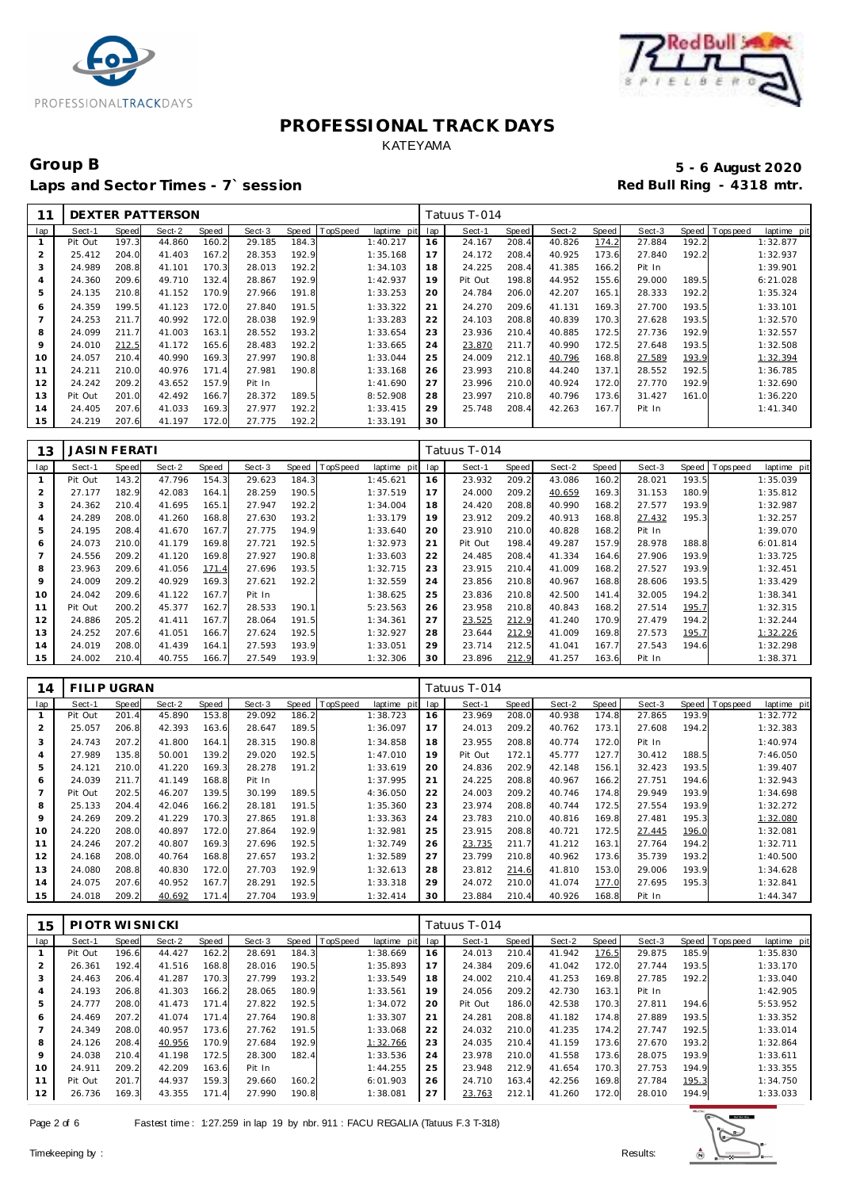



### Group B<br> **Example 2020**<br>
Laps and Sector Times - 7`session<br> **5 - 6 August 2020**<br>
Red Bull Ring - 4318 mtr. Laps and Sector Times - 7`session

| 11             |         |              | DEXTER PATTERSON |       |        |       |          |                |     | Tatuus T-014 |       |        |       |        |       |             |                |
|----------------|---------|--------------|------------------|-------|--------|-------|----------|----------------|-----|--------------|-------|--------|-------|--------|-------|-------------|----------------|
| lap            | Sect-1  | <b>Speed</b> | Sect-2           | Speed | Sect-3 | Speed | TopSpeed | laptime<br>pit | lap | Sect-1       | Speed | Sect-2 | Speed | Sect-3 | Speed | T ops pee d | laptime<br>pit |
|                | Pit Out | 197.3        | 44.860           | 160.2 | 29.185 | 184.3 |          | 1:40.217       | 16  | 24.167       | 208.4 | 40.826 | 174.2 | 27.884 | 192.2 |             | 1:32.877       |
| 2              | 25.412  | 204.0        | 41.403           | 167.2 | 28.353 | 192.9 |          | 1:35.168       | 17  | 24.172       | 208.4 | 40.925 | 173.6 | 27.840 | 192.2 |             | 1:32.937       |
| 3              | 24.989  | 208.8        | 41.101           | 170.3 | 28.013 | 192.2 |          | 1:34.103       | 18  | 24.225       | 208.4 | 41.385 | 166.2 | Pit In |       |             | 1:39.901       |
| 4              | 24.360  | 209.6        | 49.710           | 132.4 | 28.867 | 192.9 |          | 1:42.937       | 19  | Pit Out      | 198.8 | 44.952 | 155.6 | 29.000 | 189.5 |             | 6:21.028       |
| 5              | 24.135  | 210.8        | 41.152           | 170.9 | 27.966 | 191.8 |          | 1:33.253       | 20  | 24.784       | 206.0 | 42.207 | 165.1 | 28.333 | 192.2 |             | 1:35.324       |
| 6              | 24.359  | 199.5        | 41.123           | 172.0 | 27.840 | 191.5 |          | 1:33.322       | 21  | 24.270       | 209.6 | 41.131 | 169.3 | 27.700 | 193.5 |             | 1:33.101       |
| $\overline{7}$ | 24.253  | 211.7        | 40.992           | 172.0 | 28.038 | 192.9 |          | 1:33.283       | 22  | 24.103       | 208.8 | 40.839 | 170.3 | 27.628 | 193.5 |             | 1:32.570       |
| 8              | 24.099  | 211.7        | 41.003           | 163.1 | 28.552 | 193.2 |          | 1:33.654       | 23  | 23.936       | 210.4 | 40.885 | 172.5 | 27.736 | 192.9 |             | 1:32.557       |
| 9              | 24.010  | 212.5        | 41.172           | 165.6 | 28.483 | 192.2 |          | 1:33.665       | 24  | 23.870       | 211.7 | 40.990 | 172.5 | 27.648 | 193.5 |             | 1:32.508       |
| 10             | 24.057  | 210.4        | 40.990           | 169.3 | 27.997 | 190.8 |          | 1:33.044       | 25  | 24.009       | 212.1 | 40.796 | 168.8 | 27.589 | 193.9 |             | 1:32.394       |
| 11             | 24.211  | 210.0        | 40.976           | 171.4 | 27.981 | 190.8 |          | 1:33.168       | 26  | 23.993       | 210.8 | 44.240 | 137.1 | 28.552 | 192.5 |             | 1:36.785       |
| 12             | 24.242  | 209.2        | 43.652           | 157.9 | Pit In |       |          | 1:41.690       | 27  | 23.996       | 210.0 | 40.924 | 172.0 | 27.770 | 192.9 |             | 1:32.690       |
| 13             | Pit Out | 201.0        | 42.492           | 166.7 | 28.372 | 189.5 |          | 8:52.908       | 28  | 23.997       | 210.8 | 40.796 | 173.6 | 31.427 | 161.0 |             | 1:36.220       |
| 14             | 24.405  | 207.6        | 41.033           | 169.3 | 27.977 | 192.2 |          | 1:33.415       | 29  | 25.748       | 208.4 | 42.263 | 167.7 | Pit In |       |             | 1:41.340       |
| 15             | 24.219  | 207.6        | 41.197           | 172.0 | 27.775 | 192.2 |          | 1:33.191       | 30  |              |       |        |       |        |       |             |                |

| 13             | <b>JASIN FERATI</b> |       |        |       |        |       |         |             |     | Tatuus T-014 |       |        |       |        |       |             |             |
|----------------|---------------------|-------|--------|-------|--------|-------|---------|-------------|-----|--------------|-------|--------|-------|--------|-------|-------------|-------------|
| lap            | Sect-1              | Speed | Sect-2 | Speed | Sect-3 | Speed | opSpeed | laptime pit | lap | Sect-1       | Speed | Sect-2 | Speed | Sect-3 | Speed | T ops pee d | laptime pit |
|                | Pit Out             | 143.2 | 47.796 | 154.3 | 29.623 | 184.3 |         | 1:45.621    | 16  | 23.932       | 209.2 | 43.086 | 160.2 | 28.021 | 193.5 |             | 1:35.039    |
| 2              | 27.177              | 182.9 | 42.083 | 164.1 | 28.259 | 190.5 |         | 1:37.519    | 17  | 24.000       | 209.2 | 40.659 | 169.3 | 31.153 | 180.9 |             | 1:35.812    |
| 3              | 24.362              | 210.4 | 41.695 | 165.  | 27.947 | 192.2 |         | 1:34.004    | 18  | 24.420       | 208.8 | 40.990 | 168.2 | 27.577 | 193.9 |             | 1:32.987    |
| $\overline{4}$ | 24.289              | 208.0 | 41.260 | 168.8 | 27.630 | 193.2 |         | 1:33.179    | 19  | 23.912       | 209.2 | 40.913 | 168.8 | 27.432 | 195.3 |             | 1:32.257    |
| 5              | 24.195              | 208.4 | 41.670 | 167.7 | 27.775 | 194.9 |         | 1:33.640    | 20  | 23.910       | 210.0 | 40.828 | 168.2 | Pit In |       |             | 1:39.070    |
| 6              | 24.073              | 210.0 | 41.179 | 169.8 | 27.721 | 192.5 |         | 1:32.973    | 21  | Pit Out      | 198.4 | 49.287 | 157.9 | 28.978 | 188.8 |             | 6:01.814    |
| $\overline{7}$ | 24.556              | 209.2 | 41.120 | 169.8 | 27.927 | 190.8 |         | 1:33.603    | 22  | 24.485       | 208.4 | 41.334 | 164.6 | 27.906 | 193.9 |             | 1:33.725    |
| 8              | 23.963              | 209.6 | 41.056 | 171.4 | 27.696 | 193.5 |         | 1:32.715    | 23  | 23.915       | 210.4 | 41.009 | 168.2 | 27.527 | 193.9 |             | 1:32.451    |
| 9              | 24.009              | 209.2 | 40.929 | 169.3 | 27.621 | 192.2 |         | 1:32.559    | 24  | 23.856       | 210.8 | 40.967 | 168.8 | 28.606 | 193.5 |             | 1:33.429    |
| 10             | 24.042              | 209.6 | 41.122 | 167.7 | Pit In |       |         | 1:38.625    | 25  | 23.836       | 210.8 | 42.500 | 141.4 | 32.005 | 194.2 |             | 1:38.341    |
| 11             | Pit Out             | 200.2 | 45.377 | 162.7 | 28.533 | 190.1 |         | 5:23.563    | 26  | 23.958       | 210.8 | 40.843 | 168.2 | 27.514 | 195.7 |             | 1:32.315    |
| 12             | 24.886              | 205.2 | 41.411 | 167.7 | 28.064 | 191.5 |         | 1:34.361    | 27  | 23.525       | 212.9 | 41.240 | 170.9 | 27.479 | 194.2 |             | 1:32.244    |
| 13             | 24.252              | 207.6 | 41.051 | 166.7 | 27.624 | 192.5 |         | 1:32.927    | 28  | 23.644       | 212.9 | 41.009 | 169.8 | 27.573 | 195.7 |             | 1:32.226    |
| 14             | 24.019              | 208.0 | 41.439 | 164.1 | 27.593 | 193.9 |         | 1:33.051    | 29  | 23.714       | 212.5 | 41.041 | 167.7 | 27.543 | 194.6 |             | 1:32.298    |
| 15             | 24.002              | 210.4 | 40.755 | 166.7 | 27.549 | 193.9 |         | 1:32.306    | 30  | 23.896       | 212.9 | 41.257 | 163.6 | Pit In |       |             | 1:38.371    |

| 14             | FILIP UGRAN |       |        |       |        |       |          |                |     | Tatuus T-014 |       |        |       |        |       |             |             |
|----------------|-------------|-------|--------|-------|--------|-------|----------|----------------|-----|--------------|-------|--------|-------|--------|-------|-------------|-------------|
| lap            | Sect-1      | Speed | Sect-2 | Speed | Sect-3 | Speed | TopSpeed | laptime<br>pit | lap | Sect-1       | Speed | Sect-2 | Speed | Sect-3 | Speed | T ops pee d | laptime pit |
|                | Pit Out     | 201.4 | 45.890 | 153.8 | 29.092 | 186.2 |          | 1:38.723       | 16  | 23.969       | 208.0 | 40.938 | 174.8 | 27.865 | 193.9 |             | 1:32.772    |
| 2              | 25.057      | 206.8 | 42.393 | 163.6 | 28.647 | 189.5 |          | 1:36.097       | 17  | 24.013       | 209.2 | 40.762 | 173.1 | 27.608 | 194.2 |             | 1:32.383    |
| 3              | 24.743      | 207.2 | 41.800 | 164.1 | 28.315 | 190.8 |          | 1:34.858       | 18  | 23.955       | 208.8 | 40.774 | 172.0 | Pit In |       |             | 1:40.974    |
| $\overline{A}$ | 27.989      | 135.8 | 50.001 | 139.2 | 29.020 | 192.5 |          | 1:47.010       | 19  | Pit Out      | 172.1 | 45.777 | 127.7 | 30.412 | 188.5 |             | 7:46.050    |
| 5              | 24.121      | 210.0 | 41.220 | 169.3 | 28.278 | 191.2 |          | 1:33.619       | 20  | 24.836       | 202.9 | 42.148 | 156.1 | 32.423 | 193.5 |             | 1:39.407    |
| 6              | 24.039      | 211.7 | 41.149 | 168.8 | Pit In |       |          | 1:37.995       | 21  | 24.225       | 208.8 | 40.967 | 166.2 | 27.751 | 194.6 |             | 1:32.943    |
|                | Pit Out     | 202.5 | 46.207 | 139.5 | 30.199 | 189.5 |          | 4:36.050       | 22  | 24.003       | 209.2 | 40.746 | 174.8 | 29.949 | 193.9 |             | 1:34.698    |
| 8              | 25.133      | 204.4 | 42.046 | 166.2 | 28.181 | 191.5 |          | 1:35.360       | 23  | 23.974       | 208.8 | 40.744 | 172.5 | 27.554 | 193.9 |             | 1:32.272    |
| 9              | 24.269      | 209.2 | 41.229 | 170.3 | 27.865 | 191.8 |          | 1:33.363       | 24  | 23.783       | 210.0 | 40.816 | 169.8 | 27.481 | 195.3 |             | 1:32.080    |
| 10             | 24.220      | 208.0 | 40.897 | 172.0 | 27.864 | 192.9 |          | 1:32.981       | 25  | 23.915       | 208.8 | 40.721 | 172.5 | 27.445 | 196.0 |             | 1:32.081    |
| 11             | 24.246      | 207.2 | 40.807 | 169.3 | 27.696 | 192.5 |          | 1:32.749       | 26  | 23.735       | 211.7 | 41.212 | 163.1 | 27.764 | 194.2 |             | 1:32.711    |
| 12             | 24.168      | 208.0 | 40.764 | 168.8 | 27.657 | 193.2 |          | 1:32.589       | 27  | 23.799       | 210.8 | 40.962 | 173.6 | 35.739 | 193.2 |             | 1:40.500    |
| 13             | 24.080      | 208.8 | 40.830 | 172.0 | 27.703 | 192.9 |          | 1:32.613       | 28  | 23.812       | 214.6 | 41.810 | 153.0 | 29.006 | 193.9 |             | 1:34.628    |
| 14             | 24.075      | 207.6 | 40.952 | 167.7 | 28.291 | 192.5 |          | 1:33.318       | 29  | 24.072       | 210.0 | 41.074 | 177.0 | 27.695 | 195.3 |             | 1:32.841    |
| 15             | 24.018      | 209.2 | 40.692 | 171.4 | 27.704 | 193.9 |          | 1:32.414       | 30  | 23.884       | 210.4 | 40.926 | 168.8 | Pit In |       |             | 1:44.347    |

| 15             | PIOTR WISNICKI |       |        |       |        |       |          |             |     | Tatuus T-014 |       |        |       |        |       |            |             |
|----------------|----------------|-------|--------|-------|--------|-------|----------|-------------|-----|--------------|-------|--------|-------|--------|-------|------------|-------------|
| lap            | Sect-1         | Speed | Sect-2 | Speed | Sect-3 | Speed | TopSpeed | laptime pit | lap | Sect-1       | Speed | Sect-2 | Speed | Sect-3 | Speed | I Topspeed | laptime pit |
|                | Pit Out        | 196.6 | 44.427 | 162.2 | 28.691 | 184   |          | 1:38.669    | 16  | 24.013       | 210.4 | 41.942 | 176.5 | 29.875 | 185.9 |            | 1:35.830    |
| $\overline{2}$ | 26.361         | 192.4 | 41.516 | 168.8 | 28.016 | 190.5 |          | 1:35.893    | 17  | 24.384       | 209.6 | 41.042 | 172.0 | 27.744 | 193.5 |            | 1:33.170    |
| 3              | 24.463         | 206.4 | 41.287 | 170.3 | 27.799 | 193.2 |          | 1:33.549    | 18  | 24.002       | 210.4 | 41.253 | 169.8 | 27.785 | 192.2 |            | 1:33.040    |
| 4              | 24.193         | 206.8 | 41.303 | 166.2 | 28.065 | 180.9 |          | 1:33.561    | 19  | 24.056       | 209.2 | 42.730 | 163.1 | Pit In |       |            | 1:42.905    |
| 5              | 24.777         | 208.0 | 41.473 | 171.4 | 27.822 | 192.5 |          | 1:34.072    | 20  | Pit Out      | 186.0 | 42.538 | 170.3 | 27.811 | 194.6 |            | 5:53.952    |
| 6              | 24.469         | 207.2 | 41.074 | 171.4 | 27.764 | 190.8 |          | 1:33.307    | 21  | 24.281       | 208.8 | 41.182 | 174.8 | 27.889 | 193.5 |            | 1:33.352    |
|                | 24.349         | 208.0 | 40.957 | 173.6 | 27.762 | 191.5 |          | 1:33.068    | 22  | 24.032       | 210.0 | 41.235 | 174.2 | 27.747 | 192.5 |            | 1:33.014    |
| 8              | 24.126         | 208.4 | 40.956 | 170.9 | 27.684 | 192.9 |          | 1:32.766    | 23  | 24.035       | 210.4 | 41.159 | 173.6 | 27.670 | 193.2 |            | 1:32.864    |
| 9              | 24.038         | 210.4 | 41.198 | 172.5 | 28.300 | 182.4 |          | 1:33.536    | 24  | 23.978       | 210.0 | 41.558 | 173.6 | 28.075 | 193.9 |            | 1:33.611    |
| 10             | 24.911         | 209.2 | 42.209 | 163.6 | Pit In |       |          | 1:44.255    | 25  | 23.948       | 212.9 | 41.654 | 170.3 | 27.753 | 194.9 |            | 1:33.355    |
| 11             | Pit Out        | 201.7 | 44.937 | 159.3 | 29.660 | 160.2 |          | 6:01.903    | 26  | 24.710       | 163.4 | 42.256 | 169.8 | 27.784 | 195.3 |            | 1:34.750    |
| 12             | 26.736         | 169.3 | 43.355 | 171.4 | 27.990 | 190.8 |          | 1:38.081    | 27  | 23.763       | 212.1 | 41.260 | 172.0 | 28.010 | 194.9 |            | 1:33.033    |

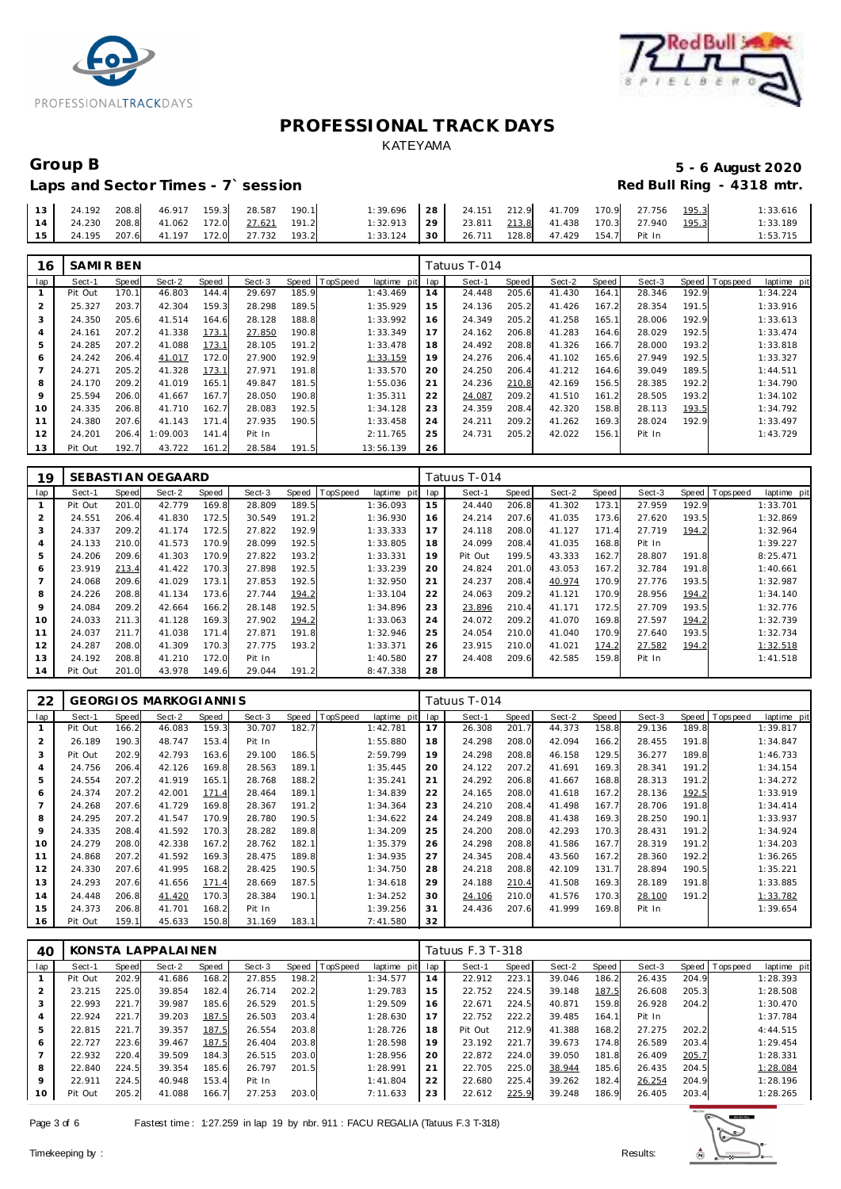



# Laps and Sector Times - 7`session

| Group B                           | 5 - 6 August 2020         |
|-----------------------------------|---------------------------|
| Laps and Sector Times - 7`session | Red Bull Ring - 4318 mtr. |

|  |  |  |                                             | 1:39.696 28 24.151 212.9 41.709 170.9 27.756 195.3        |  |  |  | 1:33.616 |
|--|--|--|---------------------------------------------|-----------------------------------------------------------|--|--|--|----------|
|  |  |  | $14$ 24.230 208.8 41.062 172.0 27.621 191.2 | 1:32.913 29 23.811 213.8 41.438 170.3 27.940 <u>195.3</u> |  |  |  | 1:33.189 |
|  |  |  | 15 24.195 207.6 41.197 172.0 27.732 193.2   | 1:33.124 30 26.711 128.8 47.429 154.7 Pit In              |  |  |  | 1:53.715 |

| 16             | <b>SAMIRBEN</b> |       |          |       |        |       |          |             |     | Tatuus T-014 |       |        |       |        |       |                   |             |
|----------------|-----------------|-------|----------|-------|--------|-------|----------|-------------|-----|--------------|-------|--------|-------|--------|-------|-------------------|-------------|
| lap            | Sect-1          | Speed | Sect-2   | Speed | Sect-3 | Speed | TopSpeed | laptime pit | lap | Sect-1       | Speed | Sect-2 | Speed | Sect-3 |       | Speed   Tops peed | laptime pit |
|                | Pit Out         | 170.1 | 46.803   | 144.4 | 29.697 | 185.9 |          | 1:43.469    | 14  | 24.448       | 205.6 | 41.430 | 164.1 | 28.346 | 192.9 |                   | 1:34.224    |
| $\overline{2}$ | 25.327          | 203.7 | 42.304   | 159.3 | 28.298 | 189.5 |          | 1:35.929    | 15  | 24.136       | 205.2 | 41.426 | 167.2 | 28.354 | 191.5 |                   | 1:33.916    |
| 3              | 24.350          | 205.6 | 41.514   | 164.6 | 28.128 | 188.8 |          | 1:33.992    | 16  | 24.349       | 205.2 | 41.258 | 165.1 | 28.006 | 192.9 |                   | 1:33.613    |
| 4              | 24.161          | 207.2 | 41.338   | 173.1 | 27.850 | 190.8 |          | 1:33.349    | 17  | 24.162       | 206.8 | 41.283 | 164.6 | 28.029 | 192.5 |                   | 1:33.474    |
| 5              | 24.285          | 207.2 | 41.088   | 173.1 | 28.105 | 191.2 |          | 1:33.478    | 18  | 24.492       | 208.8 | 41.326 | 166.7 | 28.000 | 193.2 |                   | 1:33.818    |
| 6              | 24.242          | 206.4 | 41.017   | 172.0 | 27.900 | 192.9 |          | 1:33.159    | 19  | 24.276       | 206.4 | 41.102 | 165.6 | 27.949 | 192.5 |                   | 1:33.327    |
|                | 24.271          | 205.2 | 41.328   | 173.1 | 27.971 | 191.8 |          | 1:33.570    | 20  | 24.250       | 206.4 | 41.212 | 164.6 | 39.049 | 189.5 |                   | 1:44.511    |
| 8              | 24.170          | 209.2 | 41.019   | 165.1 | 49.847 | 181.5 |          | 1:55.036    | 21  | 24.236       | 210.8 | 42.169 | 156.5 | 28.385 | 192.2 |                   | 1:34.790    |
| 9              | 25.594          | 206.0 | 41.667   | 167.7 | 28.050 | 190.8 |          | 1:35.311    | 22  | 24.087       | 209.2 | 41.510 | 161.2 | 28.505 | 193.2 |                   | 1:34.102    |
| 10             | 24.335          | 206.8 | 41.710   | 162.7 | 28.083 | 192.5 |          | 1:34.128    | 23  | 24.359       | 208.4 | 42.320 | 158.8 | 28.113 | 193.5 |                   | 1:34.792    |
| 11             | 24.380          | 207.6 | 41.143   | 171.4 | 27.935 | 190.5 |          | 1:33.458    | 24  | 24.211       | 209.2 | 41.262 | 169.3 | 28.024 | 192.9 |                   | 1:33.497    |
| 12             | 24.201          | 206.4 | 1:09.003 | 141.4 | Pit In |       |          | 2:11.765    | 25  | 24.731       | 205.2 | 42.022 | 156.1 | Pit In |       |                   | 1:43.729    |
| 13             | Pit Out         | 192.7 | 43.722   | 161.2 | 28.584 | 191.5 |          | 13:56.139   | 26  |              |       |        |       |        |       |                   |             |

| 19             |         |       | SEBASTI AN OEGAARD |       |        |       |                 |             |     | Tatuus T-014 |       |        |       |        |       |             |             |
|----------------|---------|-------|--------------------|-------|--------|-------|-----------------|-------------|-----|--------------|-------|--------|-------|--------|-------|-------------|-------------|
| lap            | Sect-1  | Speed | Sect-2             | Speed | Sect-3 | Speed | <b>TopSpeed</b> | laptime pit | lap | Sect-1       | Speed | Sect-2 | Speed | Sect-3 | Speed | T ops pee d | laptime pit |
|                | Pit Out | 201.0 | 42.779             | 169.8 | 28.809 | 189.5 |                 | 1:36.093    | 15  | 24.440       | 206.8 | 41.302 | 173.1 | 27.959 | 192.9 |             | 1:33.701    |
| $\overline{2}$ | 24.551  | 206.4 | 41.830             | 172.5 | 30.549 | 191.2 |                 | 1:36.930    | 16  | 24.214       | 207.6 | 41.035 | 173.6 | 27.620 | 193.5 |             | 1:32.869    |
| 3              | 24.337  | 209.2 | 41.174             | 172.5 | 27.822 | 192.9 |                 | 1:33.333    | 17  | 24.118       | 208.0 | 41.127 | 171.4 | 27.719 | 194.2 |             | 1:32.964    |
| $\overline{4}$ | 24.133  | 210.0 | 41.573             | 170.9 | 28.099 | 192.5 |                 | 1:33.805    | 18  | 24.099       | 208.4 | 41.035 | 168.8 | Pit In |       |             | 1:39.227    |
| 5              | 24.206  | 209.6 | 41.303             | 170.9 | 27.822 | 193.2 |                 | 1:33.331    | 19  | Pit Out      | 199.5 | 43.333 | 162.7 | 28.807 | 191.8 |             | 8:25.471    |
| 6              | 23.919  | 213.4 | 41.422             | 170.3 | 27.898 | 192.5 |                 | 1:33.239    | 20  | 24.824       | 201.0 | 43.053 | 167.2 | 32.784 | 191.8 |             | 1:40.661    |
|                | 24.068  | 209.6 | 41.029             | 173.1 | 27.853 | 192.5 |                 | 1:32.950    | 21  | 24.237       | 208.4 | 40.974 | 170.9 | 27.776 | 193.5 |             | 1:32.987    |
| 8              | 24.226  | 208.8 | 41.134             | 173.6 | 27.744 | 194.2 |                 | 1:33.104    | 22  | 24.063       | 209.2 | 41.121 | 170.9 | 28.956 | 194.2 |             | 1:34.140    |
| 9              | 24.084  | 209.2 | 42.664             | 166.2 | 28.148 | 192.5 |                 | 1:34.896    | 23  | 23.896       | 210.4 | 41.171 | 172.5 | 27.709 | 193.5 |             | 1:32.776    |
| 10             | 24.033  | 211.3 | 41.128             | 169.3 | 27.902 | 194.2 |                 | 1:33.063    | 24  | 24.072       | 209.2 | 41.070 | 169.8 | 27.597 | 194.2 |             | 1:32.739    |
| 11             | 24.037  | 211.7 | 41.038             | 171.4 | 27.871 | 191.8 |                 | 1:32.946    | 25  | 24.054       | 210.0 | 41.040 | 170.9 | 27.640 | 193.5 |             | 1:32.734    |
| 12             | 24.287  | 208.0 | 41.309             | 170.3 | 27.775 | 193.2 |                 | 1:33.371    | 26  | 23.915       | 210.0 | 41.021 | 174.2 | 27.582 | 194.2 |             | 1:32.518    |
| 13             | 24.192  | 208.8 | 41.210             | 172.0 | Pit In |       |                 | 1:40.580    | 27  | 24.408       | 209.6 | 42.585 | 159.8 | Pit In |       |             | 1:41.518    |
| 14             | Pit Out | 201.0 | 43.978             | 149.6 | 29.044 | 191.2 |                 | 8:47.338    | 28  |              |       |        |       |        |       |             |             |

| 22  |         |       | <b>GEORGIOS MARKOGIANNIS</b> |       |        |       |          |             |     | Tatuus T-014 |       |        |       |        |       |                 |             |
|-----|---------|-------|------------------------------|-------|--------|-------|----------|-------------|-----|--------------|-------|--------|-------|--------|-------|-----------------|-------------|
| lap | Sect-1  | Speed | Sect-2                       | Speed | Sect-3 | Speed | TopSpeed | laptime pit | lap | Sect-1       | Speed | Sect-2 | Speed | Sect-3 |       | Speed Tops peed | laptime pit |
|     | Pit Out | 166.2 | 46.083                       | 159.3 | 30.707 | 182.7 |          | 1:42.781    | 17  | 26.308       | 201.7 | 44.373 | 158.8 | 29.136 | 189.8 |                 | 1:39.817    |
| 2   | 26.189  | 190.3 | 48.747                       | 153.4 | Pit In |       |          | 1:55.880    | 18  | 24.298       | 208.0 | 42.094 | 166.2 | 28.455 | 191.8 |                 | 1:34.847    |
| 3   | Pit Out | 202.9 | 42.793                       | 163.6 | 29.100 | 186.5 |          | 2:59.799    | 19  | 24.298       | 208.8 | 46.158 | 129.5 | 36.277 | 189.8 |                 | 1:46.733    |
| 4   | 24.756  | 206.4 | 42.126                       | 169.8 | 28.563 | 189.1 |          | 1:35.445    | 20  | 24.122       | 207.2 | 41.691 | 169.3 | 28.341 | 191.2 |                 | 1:34.154    |
| 5   | 24.554  | 207.2 | 41.919                       | 165.1 | 28.768 | 188.2 |          | 1:35.241    | 21  | 24.292       | 206.8 | 41.667 | 168.8 | 28.313 | 191.2 |                 | 1:34.272    |
| 6   | 24.374  | 207.2 | 42.001                       | 171.4 | 28.464 | 189.1 |          | 1:34.839    | 22  | 24.165       | 208.0 | 41.618 | 167.2 | 28.136 | 192.5 |                 | 1:33.919    |
|     | 24.268  | 207.6 | 41.729                       | 169.8 | 28.367 | 191.2 |          | 1:34.364    | 23  | 24.210       | 208.4 | 41.498 | 167.7 | 28.706 | 191.8 |                 | 1:34.414    |
| 8   | 24.295  | 207.2 | 41.547                       | 170.9 | 28.780 | 190.5 |          | 1:34.622    | 24  | 24.249       | 208.8 | 41.438 | 169.3 | 28.250 | 190.1 |                 | 1:33.937    |
| 9   | 24.335  | 208.4 | 41.592                       | 170.3 | 28.282 | 189.8 |          | 1:34.209    | 25  | 24.200       | 208.0 | 42.293 | 170.3 | 28.431 | 191.2 |                 | 1:34.924    |
| 10  | 24.279  | 208.0 | 42.338                       | 167.2 | 28.762 | 182.1 |          | 1:35.379    | 26  | 24.298       | 208.8 | 41.586 | 167.7 | 28.319 | 191.2 |                 | 1:34.203    |
| 11  | 24.868  | 207.2 | 41.592                       | 169.3 | 28.475 | 189.8 |          | 1:34.935    | 27  | 24.345       | 208.4 | 43.560 | 167.2 | 28.360 | 192.2 |                 | 1:36.265    |
| 12  | 24.330  | 207.6 | 41.995                       | 168.2 | 28.425 | 190.5 |          | 1:34.750    | 28  | 24.218       | 208.8 | 42.109 | 131.7 | 28.894 | 190.5 |                 | 1:35.221    |
| 13  | 24.293  | 207.6 | 41.656                       | 171.4 | 28.669 | 187.5 |          | 1:34.618    | 29  | 24.188       | 210.4 | 41.508 | 169.3 | 28.189 | 191.8 |                 | 1:33.885    |
| 14  | 24.448  | 206.8 | 41.420                       | 170.3 | 28.384 | 190.1 |          | 1:34.252    | 30  | 24.106       | 210.0 | 41.576 | 170.3 | 28.100 | 191.2 |                 | 1:33.782    |
| 15  | 24.373  | 206.8 | 41.701                       | 168.2 | Pit In |       |          | 1:39.256    | 31  | 24.436       | 207.6 | 41.999 | 169.8 | Pit In |       |                 | 1:39.654    |
| 16  | Pit Out | 159.1 | 45.633                       | 150.8 | 31.169 | 183.1 |          | 7:41.580    | 32  |              |       |        |       |        |       |                 |             |

| 40      |         |       | KONSTA LAPPALAINEN |       |        |       |                |             |     | Tatuus F.3 T-318 |       |        |       |        |       |                 |             |
|---------|---------|-------|--------------------|-------|--------|-------|----------------|-------------|-----|------------------|-------|--------|-------|--------|-------|-----------------|-------------|
| lap     | Sect-1  | Speed | Sect-2             | Speed | Sect-3 |       | Speed TopSpeed | laptime pit | lap | Sect-1           | Speed | Sect-2 | Speed | Sect-3 |       | Speed Tops peed | laptime pit |
|         | Pit Out | 202.9 | 41.686             | 168.2 | 27.855 | 198.2 |                | 1:34.577    | 14  | 22.912           | 223.1 | 39.046 | 186.2 | 26.435 | 204.9 |                 | 1:28.393    |
|         | 23.215  | 225.0 | 39.854             | 182.4 | 26.714 | 202.2 |                | 1:29.783    | 15  | 22.752           | 224.5 | 39.148 | 187.5 | 26.608 | 205.3 |                 | 1:28.508    |
| 3       | 22.993  | 221.7 | 39.987             | 185.6 | 26.529 | 201.5 |                | 1:29.509    | 16  | 22.671           | 224.5 | 40.871 | 159.8 | 26.928 | 204.2 |                 | 1:30.470    |
| 4       | 22.924  | 221.7 | 39.203             | 187.5 | 26.503 | 203.4 |                | 1:28.630    | 17  | 22.752           | 222.2 | 39.485 | 164.1 | Pit In |       |                 | 1:37.784    |
| 5       | 22.815  | 221.7 | 39.357             | 187.5 | 26.554 | 203.8 |                | 1:28.726    | 18  | Pit Out          | 212.9 | 41.388 | 168.2 | 27.275 | 202.2 |                 | 4:44.515    |
| 6       | 22.727  | 223.6 | 39.467             | 187.5 | 26.404 | 203.8 |                | 1:28.598    | 19  | 23.192           | 221.7 | 39.673 | 174.8 | 26.589 | 203.4 |                 | 1:29.454    |
|         | 22.932  | 220.4 | 39.509             | 184.3 | 26.515 | 203.0 |                | 1:28.956    | 20  | 22.872           | 224.0 | 39.050 | 181.8 | 26.409 | 205.7 |                 | 1:28.331    |
| 8       | 22.840  | 224.5 | 39.354             | 185.6 | 26.797 | 201.5 |                | 1:28.991    | 21  | 22.705           | 225.0 | 38.944 | 185.6 | 26.435 | 204.5 |                 | 1:28.084    |
| $\circ$ | 22.911  | 224.5 | 40.948             | 153.4 | Pit In |       |                | 1:41.804    | 22  | 22.680           | 225.4 | 39.262 | 182.4 | 26.254 | 204.9 |                 | 1:28.196    |
| 10      | Pit Out | 205.2 | 41.088             | 166.7 | 27.253 | 203.0 |                | 7:11.633    | 23  | 22.612           | 225.9 | 39.248 | 186.9 | 26.405 | 203.4 |                 | 1:28.265    |

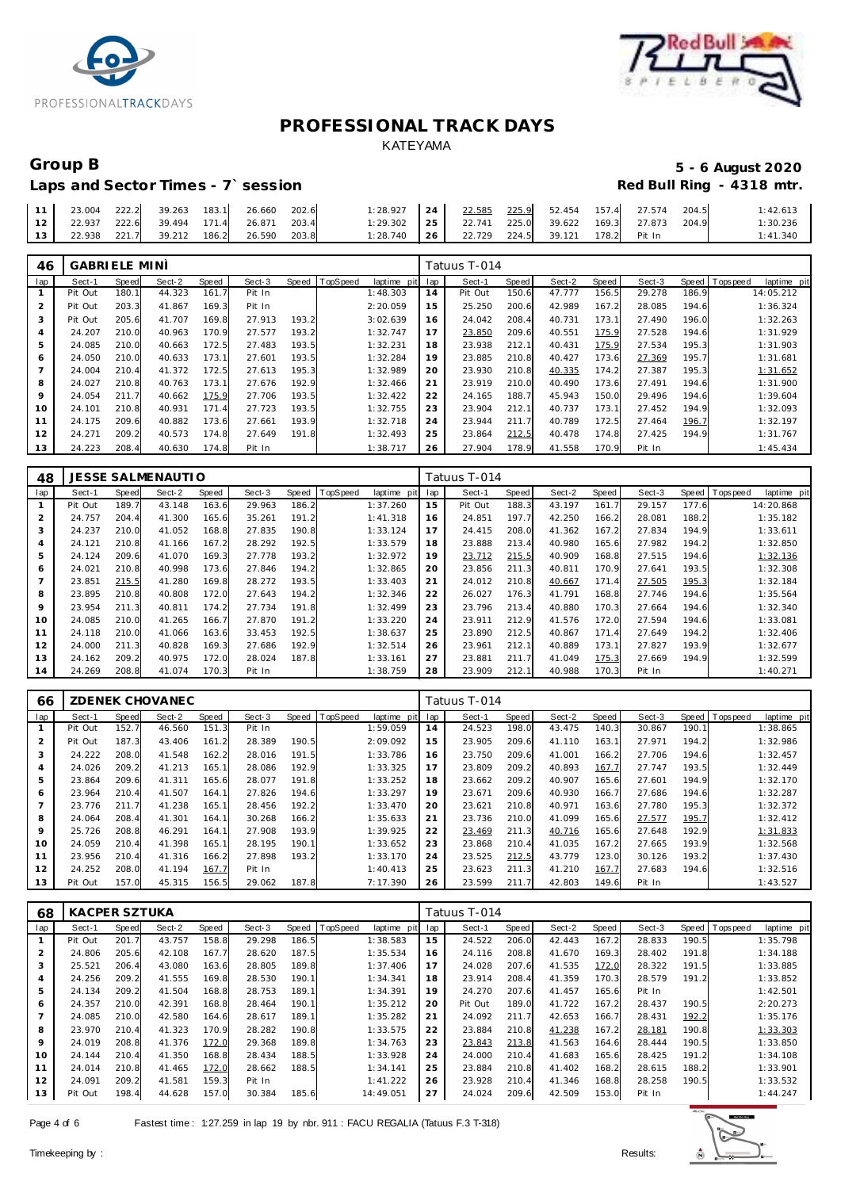



# Laps and Sector Times - 7`session

| Group B                           | 5 - 6 August 2020         |
|-----------------------------------|---------------------------|
| Laps and Sector Times - 7`session | Red Bull Ring - 4318 mtr. |

|  |  | $11$ 23.004 222.2 39.263 183.1 26.660 202.6 |  | 1:28.927 24 22.585 225.9 52.454 157.4 27.574 204.5 |                                                          |  |  | 1:42.613  |
|--|--|---------------------------------------------|--|----------------------------------------------------|----------------------------------------------------------|--|--|-----------|
|  |  | $12$ 22.937 222.6 39.494 171.4 26.871 203.4 |  |                                                    | $1:29.302$   25   22.741 225.0 39.622 169.3 27.873 204.9 |  |  | 1:30.236  |
|  |  | 13   22.938 221.7 39.212 186.2 26.590 203.8 |  |                                                    | 1:28.740   26   22.729 224.5 39.121 178.2 Pit In         |  |  | 1: 41.340 |

| 46  | <b>GABRIELE MINI</b> |       |        |       |        |       |                 |             |     | Tatuus T-014 |       |        |       |        |       |                                |
|-----|----------------------|-------|--------|-------|--------|-------|-----------------|-------------|-----|--------------|-------|--------|-------|--------|-------|--------------------------------|
| lap | Sect-1               | Speed | Sect-2 | Speed | Sect-3 | Speed | <b>TopSpeed</b> | laptime pit | lap | Sect-1       | Speed | Sect-2 | Speed | Sect-3 |       | Speed Tops peed<br>laptime pit |
|     | Pit Out              | 180.1 | 44.323 | 161.7 | Pit In |       |                 | 1:48.303    | 14  | Pit Out      | 150.6 | 47.777 | 156.5 | 29.278 | 186.9 | 14:05.212                      |
| 2   | Pit Out              | 203.3 | 41.867 | 169.3 | Pit In |       |                 | 2:20.059    | 15  | 25.250       | 200.6 | 42.989 | 167.2 | 28.085 | 194.6 | 1:36.324                       |
| 3   | Pit Out              | 205.6 | 41.707 | 169.8 | 27.913 | 193.2 |                 | 3:02.639    | 16  | 24.042       | 208.4 | 40.731 | 173.1 | 27.490 | 196.0 | 1:32.263                       |
| 4   | 24.207               | 210.0 | 40.963 | 170.9 | 27.577 | 193.2 |                 | 1:32.747    | 17  | 23.850       | 209.6 | 40.551 | 175.9 | 27.528 | 194.6 | 1:31.929                       |
| 5   | 24.085               | 210.0 | 40.663 | 172.5 | 27.483 | 193.5 |                 | 1:32.231    | 18  | 23.938       | 212.1 | 40.431 | 175.9 | 27.534 | 195.3 | 1:31.903                       |
| 6   | 24.050               | 210.0 | 40.633 | 173.1 | 27.601 | 193.5 |                 | 1:32.284    | 19  | 23.885       | 210.8 | 40.427 | 173.6 | 27.369 | 195.7 | 1:31.681                       |
|     | 24.004               | 210.4 | 41.372 | 172.5 | 27.613 | 195.3 |                 | 1:32.989    | 20  | 23.930       | 210.8 | 40.335 | 174.2 | 27.387 | 195.3 | 1:31.652                       |
| 8   | 24.027               | 210.8 | 40.763 | 173.1 | 27.676 | 192.9 |                 | 1:32.466    | 21  | 23.919       | 210.0 | 40.490 | 173.6 | 27.491 | 194.6 | 1:31.900                       |
| 9   | 24.054               | 211.7 | 40.662 | 175.9 | 27.706 | 193.5 |                 | 1:32.422    | 22  | 24.165       | 188.7 | 45.943 | 150.0 | 29.496 | 194.6 | 1:39.604                       |
| 10  | 24.101               | 210.8 | 40.931 | 171.4 | 27.723 | 193.5 |                 | 1:32.755    | 23  | 23.904       | 212.1 | 40.737 | 173.1 | 27.452 | 194.9 | 1:32.093                       |
| 11  | 24.175               | 209.6 | 40.882 | 173.6 | 27.661 | 193.9 |                 | 1:32.718    | 24  | 23.944       | 211.7 | 40.789 | 172.5 | 27.464 | 196.7 | 1:32.197                       |
| 12  | 24.271               | 209.2 | 40.573 | 174.8 | 27.649 | 191.8 |                 | 1:32.493    | 25  | 23.864       | 212.5 | 40.478 | 174.8 | 27.425 | 194.9 | 1:31.767                       |
| 13  | 24.223               | 208.4 | 40.630 | 174.8 | Pit In |       |                 | 1:38.717    | 26  | 27.904       | 178.9 | 41.558 | 170.9 | Pit In |       | 1:45.434                       |

| 48             |         |              | JESSE SALMENAUTIO |       |        |       |          |             |     | Tatuus T-014 |       |        |       |        |       |                         |  |
|----------------|---------|--------------|-------------------|-------|--------|-------|----------|-------------|-----|--------------|-------|--------|-------|--------|-------|-------------------------|--|
| lap            | Sect-1  | <b>Speed</b> | Sect-2            | Speed | Sect-3 | Speed | TopSpeed | laptime pit | lap | Sect-1       | Speed | Sect-2 | Speed | Sect-3 | Speed | Topspeed<br>laptime pit |  |
|                | Pit Out | 189.7        | 43.148            | 163.6 | 29.963 | 186.2 |          | 1:37.260    | 15  | Pit Out      | 188.3 | 43.197 | 161.7 | 29.157 | 177.6 | 14:20.868               |  |
| $\overline{2}$ | 24.757  | 204.4        | 41.300            | 165.6 | 35.261 | 191.2 |          | 1:41.318    | 16  | 24.851       | 197.7 | 42.250 | 166.2 | 28.081 | 188.2 | 1:35.182                |  |
| 3              | 24.237  | 210.0        | 41.052            | 168.8 | 27.835 | 190.8 |          | 1:33.124    | 17  | 24.415       | 208.0 | 41.362 | 167.2 | 27.834 | 194.9 | 1:33.611                |  |
| 4              | 24.121  | 210.8        | 41.166            | 167.2 | 28.292 | 192.5 |          | 1:33.579    | 18  | 23.888       | 213.4 | 40.980 | 165.6 | 27.982 | 194.2 | 1:32.850                |  |
| 5              | 24.124  | 209.6        | 41.070            | 169.3 | 27.778 | 193.2 |          | 1:32.972    | 19  | 23.712       | 215.5 | 40.909 | 168.8 | 27.515 | 194.6 | 1:32.136                |  |
| 6              | 24.021  | 210.8        | 40.998            | 173.6 | 27.846 | 194.2 |          | 1:32.865    | 20  | 23.856       | 211.3 | 40.811 | 170.9 | 27.641 | 193.5 | 1:32.308                |  |
| -              | 23.851  | 215.5        | 41.280            | 169.8 | 28.272 | 193.5 |          | 1:33.403    | 21  | 24.012       | 210.8 | 40.667 | 171.4 | 27.505 | 195.3 | 1:32.184                |  |
| 8              | 23.895  | 210.8        | 40.808            | 172.0 | 27.643 | 194.2 |          | 1:32.346    | 22  | 26.027       | 176.3 | 41.791 | 168.8 | 27.746 | 194.6 | 1:35.564                |  |
| 9              | 23.954  | 211.3        | 40.811            | 174.2 | 27.734 | 191.8 |          | 1:32.499    | 23  | 23.796       | 213.4 | 40.880 | 170.3 | 27.664 | 194.6 | 1:32.340                |  |
| 10             | 24.085  | 210.0        | 41.265            | 166.7 | 27.870 | 191.2 |          | 1:33.220    | 24  | 23.911       | 212.9 | 41.576 | 172.0 | 27.594 | 194.6 | 1:33.081                |  |
| 11             | 24.118  | 210.0        | 41.066            | 163.6 | 33.453 | 192.5 |          | 1:38.637    | 25  | 23.890       | 212.5 | 40.867 | 171.4 | 27.649 | 194.2 | 1:32.406                |  |
| 12             | 24.000  | 211.3        | 40.828            | 169.3 | 27.686 | 192.9 |          | 1:32.514    | 26  | 23.961       | 212.1 | 40.889 | 173.1 | 27.827 | 193.9 | 1:32.677                |  |
| 13             | 24.162  | 209.2        | 40.975            | 172.0 | 28.024 | 187.8 |          | 1:33.161    | 27  | 23.881       | 211.7 | 41.049 | 175.3 | 27.669 | 194.9 | 1:32.599                |  |
| 14             | 24.269  | 208.8        | 41.074            | 170.3 | Pit In |       |          | 1:38.759    | 28  | 23.909       | 212.1 | 40.988 | 170.3 | Pit In |       | 1:40.271                |  |

| 66             |         |       | ZDENEK CHOVANEC |       |        |       |          |             |     | Tatuus T-014 |       |        |       |        |       |                |             |
|----------------|---------|-------|-----------------|-------|--------|-------|----------|-------------|-----|--------------|-------|--------|-------|--------|-------|----------------|-------------|
| lap            | Sect-1  | Speed | Sect-2          | Speed | Sect-3 | Speed | TopSpeed | laptime pit | lap | Sect-1       | Speed | Sect-2 | Speed | Sect-3 |       | Speed Topspeed | laptime pit |
|                | Pit Out | 152.7 | 46.560          | 151.3 | Pit In |       |          | 1:59.059    | 14  | 24.523       | 198.0 | 43.475 | 140.3 | 30.867 | 190.1 |                | 1:38.865    |
| $\overline{2}$ | Pit Out | 187.3 | 43.406          | 161.2 | 28.389 | 190.5 |          | 2:09.092    | 15  | 23.905       | 209.6 | 41.110 | 163.1 | 27.971 | 194.2 |                | 1:32.986    |
| 3              | 24.222  | 208.0 | 41.548          | 162.2 | 28.016 | 191.5 |          | 1:33.786    | 16  | 23.750       | 209.6 | 41.001 | 166.2 | 27.706 | 194.6 |                | 1:32.457    |
| 4              | 24.026  | 209.2 | 41.213          | 165.1 | 28.086 | 192.9 |          | 1:33.325    | 17  | 23.809       | 209.2 | 40.893 | 167.7 | 27.747 | 193.5 |                | 1:32.449    |
| 5              | 23.864  | 209.6 | 41.311          | 165.6 | 28.077 | 191.8 |          | 1:33.252    | 18  | 23.662       | 209.2 | 40.907 | 165.6 | 27.601 | 194.9 |                | 1:32.170    |
| 6              | 23.964  | 210.4 | 41.507          | 164.1 | 27.826 | 194.6 |          | 1:33.297    | 19  | 23.671       | 209.6 | 40.930 | 166.7 | 27.686 | 194.6 |                | 1:32.287    |
|                | 23.776  | 211.7 | 41.238          | 165.1 | 28.456 | 192.2 |          | 1:33.470    | 20  | 23.621       | 210.8 | 40.971 | 163.6 | 27.780 | 195.3 |                | 1:32.372    |
| 8              | 24.064  | 208.4 | 41.301          | 164.1 | 30.268 | 166.2 |          | 1:35.633    | 21  | 23.736       | 210.0 | 41.099 | 165.6 | 27.577 | 195.7 |                | 1:32.412    |
| $\circ$        | 25.726  | 208.8 | 46.291          | 164.1 | 27.908 | 193.9 |          | 1:39.925    | 22  | 23.469       | 211.3 | 40.716 | 165.6 | 27.648 | 192.9 |                | 1:31.833    |
| 10             | 24.059  | 210.4 | 41.398          | 165.1 | 28.195 | 190.1 |          | 1:33.652    | 23  | 23.868       | 210.4 | 41.035 | 167.2 | 27.665 | 193.9 |                | 1:32.568    |
| 11             | 23.956  | 210.4 | 41.316          | 166.2 | 27.898 | 193.2 |          | 1:33.170    | 24  | 23.525       | 212.5 | 43.779 | 123.0 | 30.126 | 193.2 |                | 1:37.430    |
| 12             | 24.252  | 208.0 | 41.194          | 167.7 | Pit In |       |          | 1:40.413    | 25  | 23.623       | 211.3 | 41.210 | 167.7 | 27.683 | 194.6 |                | 1:32.516    |
| 13             | Pit Out | 157.0 | 45.315          | 156.5 | 29.062 | 187.8 |          | 7:17.390    | 26  | 23.599       | 211.7 | 42.803 | 149.6 | Pit In |       |                | 1:43.527    |

| 68  | KACPER SZTUKA |       |        |       |        |       |                 |             |     | Tatuus T-014 |       |        |       |        |       |           |             |
|-----|---------------|-------|--------|-------|--------|-------|-----------------|-------------|-----|--------------|-------|--------|-------|--------|-------|-----------|-------------|
| lap | Sect-1        | Speed | Sect-2 | Speed | Sect-3 | Speed | <b>TopSpeed</b> | laptime pit | lap | Sect-1       | Speed | Sect-2 | Speed | Sect-3 | Speed | Tops peed | laptime pit |
|     | Pit Out       | 201.7 | 43.757 | 158.8 | 29.298 | 186.5 |                 | 1:38.583    | 15  | 24.522       | 206.0 | 42.443 | 167.2 | 28.833 | 190.5 |           | 1:35.798    |
|     | 24.806        | 205.6 | 42.108 | 167.7 | 28.620 | 187.5 |                 | 1:35.534    | 16  | 24.116       | 208.8 | 41.670 | 169.3 | 28.402 | 191.8 |           | 1:34.188    |
| 3   | 25.521        | 206.4 | 43.080 | 163.6 | 28.805 | 189.8 |                 | 1:37.406    | 17  | 24.028       | 207.6 | 41.535 | 172.0 | 28.322 | 191.5 |           | 1:33.885    |
| 4   | 24.256        | 209.2 | 41.555 | 169.8 | 28.530 | 190.1 |                 | 1:34.341    | 18  | 23.914       | 208.4 | 41.359 | 170.3 | 28.579 | 191.2 |           | 1:33.852    |
| 5   | 24.134        | 209.2 | 41.504 | 168.8 | 28.753 | 189.1 |                 | 1:34.391    | 19  | 24.270       | 207.6 | 41.457 | 165.6 | Pit In |       |           | 1:42.501    |
| 6   | 24.357        | 210.0 | 42.391 | 168.8 | 28.464 | 190.1 |                 | 1:35.212    | 20  | Pit Out      | 189.0 | 41.722 | 167.2 | 28.437 | 190.5 |           | 2:20.273    |
|     | 24.085        | 210.0 | 42.580 | 164.6 | 28.617 | 189.1 |                 | 1:35.282    | 21  | 24.092       | 211.7 | 42.653 | 166.7 | 28.431 | 192.2 |           | 1:35.176    |
| 8   | 23.970        | 210.4 | 41.323 | 170.9 | 28.282 | 190.8 |                 | 1:33.575    | 22  | 23.884       | 210.8 | 41.238 | 167.2 | 28.181 | 190.8 |           | 1:33.303    |
| 9   | 24.019        | 208.8 | 41.376 | 172.0 | 29.368 | 189.8 |                 | 1:34.763    | 23  | 23.843       | 213.8 | 41.563 | 164.6 | 28.444 | 190.5 |           | 1:33.850    |
| 10  | 24.144        | 210.4 | 41.350 | 168.8 | 28.434 | 188.5 |                 | 1:33.928    | 24  | 24.000       | 210.4 | 41.683 | 165.6 | 28.425 | 191.2 |           | 1:34.108    |
| 11  | 24.014        | 210.8 | 41.465 | 172.0 | 28.662 | 188.5 |                 | 1:34.141    | 25  | 23.884       | 210.8 | 41.402 | 168.2 | 28.615 | 188.2 |           | 1:33.901    |
| 12  | 24.091        | 209.2 | 41.581 | 159.3 | Pit In |       |                 | 1:41.222    | 26  | 23.928       | 210.4 | 41.346 | 168.8 | 28.258 | 190.5 |           | 1:33.532    |
| 13  | Pit Out       | 198.4 | 44.628 | 157.0 | 30.384 | 185.6 |                 | 14:49.051   | 27  | 24.024       | 209.6 | 42.509 | 153.0 | Pit In |       |           | 1:44.247    |

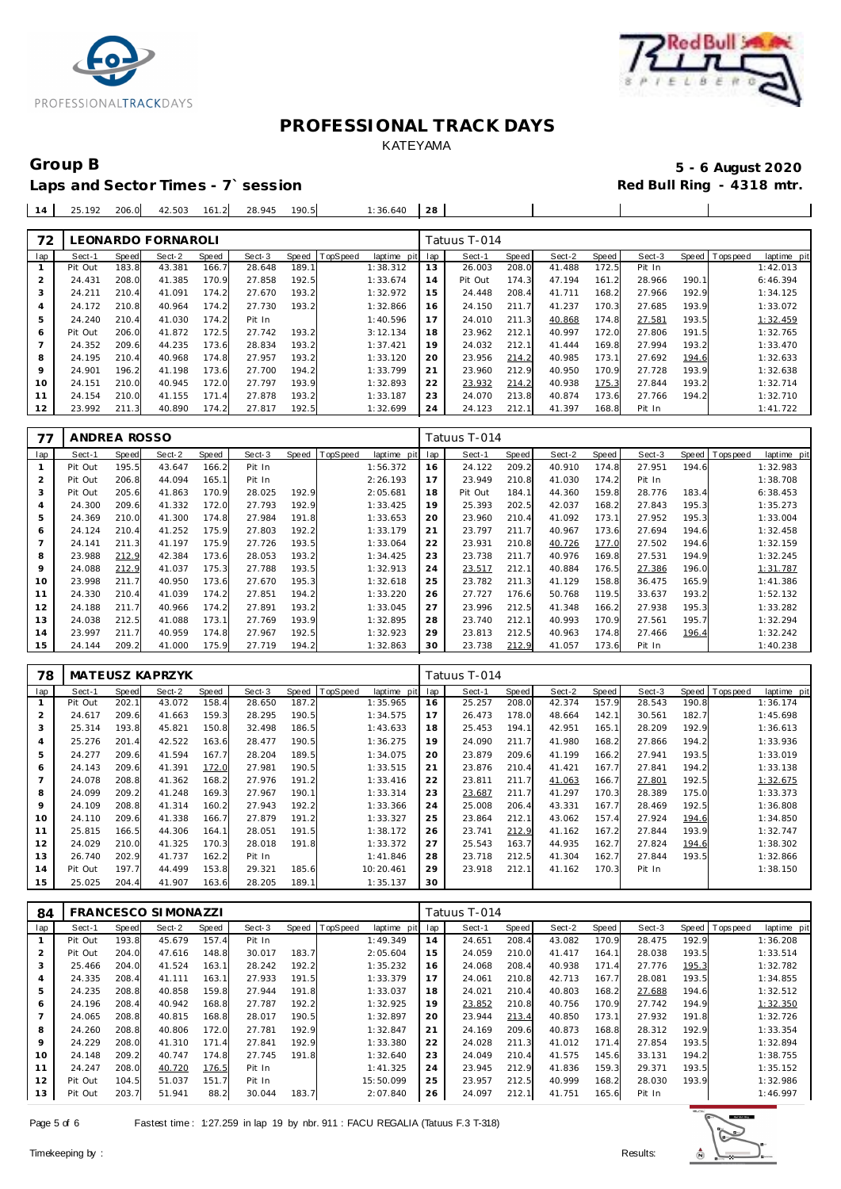



### Laps and Sector Times - 7`session

Group B<br> **Example 2020**<br>
Laps and Sector Times - 7`session<br> **5 - 6 August 2020**<br>
Red Bull Ring - 4318 mtr.

| 14 | 25.192 206.0 42.503 161.2 28.945 190.5 |  |  | $1:36.640$ $\blacksquare$ | 28 l |  |  |  |
|----|----------------------------------------|--|--|---------------------------|------|--|--|--|
|    |                                        |  |  |                           |      |  |  |  |

| 72             |         |       | EONARDO FORNAROLI |              |        |       |          |             |     | Tatuus T-014 |       |        |       |        |       |                |             |
|----------------|---------|-------|-------------------|--------------|--------|-------|----------|-------------|-----|--------------|-------|--------|-------|--------|-------|----------------|-------------|
| lap            | Sect-1  | Speed | Sect-2            | <b>Speed</b> | Sect-3 | Speed | TopSpeed | laptime pit | lap | Sect-1       | Speed | Sect-2 | Speed | Sect-3 |       | Speed Topspeed | laptime pit |
|                | Pit Out | 183.8 | 43.381            | 166.7        | 28.648 | 189.1 |          | 1:38.312    | 13  | 26.003       | 208.0 | 41.488 | 172.5 | Pit In |       |                | 1:42.013    |
| $\overline{2}$ | 24.431  | 208.0 | 41.385            | 170.9        | 27.858 | 192.5 |          | 1:33.674    | 14  | Pit Out      | 174.3 | 47.194 | 161.2 | 28.966 | 190.1 |                | 6:46.394    |
| 3              | 24.211  | 210.4 | 41.091            | 174.2        | 27.670 | 193.2 |          | 1:32.972    | 15  | 24.448       | 208.4 | 41.711 | 168.2 | 27.966 | 192.9 |                | 1:34.125    |
| 4              | 24.172  | 210.8 | 40.964            | 174.2        | 27.730 | 193.2 |          | 1:32.866    | 16  | 24.150       | 211.7 | 41.237 | 170.3 | 27.685 | 193.9 |                | 1:33.072    |
| 5              | 24.240  | 210.4 | 41.030            | 174.2        | Pit In |       |          | 1:40.596    | 17  | 24.010       | 211.3 | 40.868 | 174.8 | 27.581 | 193.5 |                | 1:32.459    |
| 6              | Pit Out | 206.0 | 41.872            | 172.5        | 27.742 | 193.2 |          | 3:12.134    | 18  | 23.962       | 212.1 | 40.997 | 172.0 | 27.806 | 191.5 |                | 1:32.765    |
|                | 24.352  | 209.6 | 44.235            | 173.6        | 28.834 | 193.2 |          | 1:37.421    | 19  | 24.032       | 212.1 | 41.444 | 169.8 | 27.994 | 193.2 |                | 1:33.470    |
| 8              | 24.195  | 210.4 | 40.968            | 174.8        | 27.957 | 193.2 |          | 1:33.120    | 20  | 23.956       | 214.2 | 40.985 | 173.1 | 27.692 | 194.6 |                | 1:32.633    |
| $\circ$        | 24.901  | 196.2 | 41.198            | 173.6        | 27.700 | 194.2 |          | 1:33.799    | 21  | 23.960       | 212.9 | 40.950 | 170.9 | 27.728 | 193.9 |                | 1:32.638    |
| 10             | 24.151  | 210.0 | 40.945            | 172.0        | 27.797 | 193.9 |          | 1:32.893    | 22  | 23.932       | 214.2 | 40.938 | 175.3 | 27.844 | 193.2 |                | 1:32.714    |
| 11             | 24.154  | 210.0 | 41.155            | 171.4        | 27.878 | 193.2 |          | 1:33.187    | 23  | 24.070       | 213.8 | 40.874 | 173.6 | 27.766 | 194.2 |                | 1:32.710    |
| 12             | 23.992  | 211.3 | 40.890            | 174.2        | 27.817 | 192.5 |          | 1:32.699    | 24  | 24.123       | 212.1 | 41.397 | 168.8 | Pit In |       |                | 1:41.722    |

| 77             | ANDREA ROSSO |       |        |       |        |       |          |                |     | Tatuus T-014 |       |        |       |        |       |             |             |
|----------------|--------------|-------|--------|-------|--------|-------|----------|----------------|-----|--------------|-------|--------|-------|--------|-------|-------------|-------------|
| lap            | Sect-1       | Speed | Sect-2 | Speed | Sect-3 | Speed | TopSpeed | laptime<br>pit | lap | Sect-1       | Speed | Sect-2 | Speed | Sect-3 | Speed | T ops pee d | laptime pit |
|                | Pit Out      | 195.5 | 43.647 | 166.2 | Pit In |       |          | 1:56.372       | 16  | 24.122       | 209.2 | 40.910 | 174.8 | 27.951 | 194.6 |             | 1:32.983    |
| $\overline{2}$ | Pit Out      | 206.8 | 44.094 | 165.1 | Pit In |       |          | 2:26.193       | 17  | 23.949       | 210.8 | 41.030 | 174.2 | Pit In |       |             | 1:38.708    |
| 3              | Pit Out      | 205.6 | 41.863 | 170.9 | 28.025 | 192.9 |          | 2:05.681       | 18  | Pit Out      | 184.1 | 44.360 | 159.8 | 28.776 | 183.4 |             | 6:38.453    |
| 4              | 24.300       | 209.6 | 41.332 | 172.0 | 27.793 | 192.9 |          | 1:33.425       | 19  | 25.393       | 202.5 | 42.037 | 168.2 | 27.843 | 195.3 |             | 1:35.273    |
| 5              | 24.369       | 210.0 | 41.300 | 174.8 | 27.984 | 191.8 |          | 1:33.653       | 20  | 23.960       | 210.4 | 41.092 | 173.1 | 27.952 | 195.3 |             | 1:33.004    |
| 6              | 24.124       | 210.4 | 41.252 | 175.9 | 27.803 | 192.2 |          | 1:33.179       | 21  | 23.797       | 211.7 | 40.967 | 173.6 | 27.694 | 194.6 |             | 1:32.458    |
| $\overline{7}$ | 24.141       | 211.3 | 41.197 | 175.9 | 27.726 | 193.5 |          | 1:33.064       | 22  | 23.931       | 210.8 | 40.726 | 177.0 | 27.502 | 194.6 |             | 1:32.159    |
| 8              | 23.988       | 212.9 | 42.384 | 173.6 | 28.053 | 193.2 |          | 1:34.425       | 23  | 23.738       | 211.7 | 40.976 | 169.8 | 27.531 | 194.9 |             | 1:32.245    |
| 9              | 24.088       | 212.9 | 41.037 | 175.3 | 27.788 | 193.5 |          | 1:32.913       | 24  | 23.517       | 212.1 | 40.884 | 176.5 | 27.386 | 196.0 |             | 1:31.787    |
| 10             | 23.998       | 211.7 | 40.950 | 173.6 | 27.670 | 195.3 |          | 1:32.618       | 25  | 23.782       | 211.3 | 41.129 | 158.8 | 36.475 | 165.9 |             | 1:41.386    |
| 11             | 24.330       | 210.4 | 41.039 | 174.2 | 27.851 | 194.2 |          | 1:33.220       | 26  | 27.727       | 176.6 | 50.768 | 119.5 | 33.637 | 193.2 |             | 1:52.132    |
| 12             | 24.188       | 211.7 | 40.966 | 174.2 | 27.891 | 193.2 |          | 1:33.045       | 27  | 23.996       | 212.5 | 41.348 | 166.2 | 27.938 | 195.3 |             | 1:33.282    |
| 13             | 24.038       | 212.5 | 41.088 | 173.1 | 27.769 | 193.9 |          | 1:32.895       | 28  | 23.740       | 212.1 | 40.993 | 170.9 | 27.561 | 195.7 |             | 1:32.294    |
| 14             | 23.997       | 211.7 | 40.959 | 174.8 | 27.967 | 192.5 |          | 1:32.923       | 29  | 23.813       | 212.5 | 40.963 | 174.8 | 27.466 | 196.4 |             | 1:32.242    |
| 15             | 24.144       | 209.2 | 41.000 | 175.9 | 27.719 | 194.2 |          | 1:32.863       | 30  | 23.738       | 212.9 | 41.057 | 173.6 | Pit In |       |             | 1:40.238    |

| 78             |         |       | MATEUSZ KAPRZYK |       |        |       |          |             |     | Tatuus T-014 |       |        |       |        |       |            |             |
|----------------|---------|-------|-----------------|-------|--------|-------|----------|-------------|-----|--------------|-------|--------|-------|--------|-------|------------|-------------|
| lap            | Sect-1  | Speed | Sect-2          | Speed | Sect-3 | Speed | TopSpeed | laptime pit | lap | Sect-1       | Speed | Sect-2 | Speed | Sect-3 | Speed | T ops peed | laptime pit |
|                | Pit Out | 202.1 | 43.072          | 158.4 | 28.650 | 187.2 |          | 1:35.965    | 16  | 25.257       | 208.0 | 42.374 | 157.9 | 28.543 | 190.8 |            | 1:36.174    |
| $\overline{2}$ | 24.617  | 209.6 | 41.663          | 159.3 | 28.295 | 190.5 |          | 1:34.575    | 17  | 26.473       | 178.0 | 48.664 | 142.1 | 30.561 | 182.7 |            | 1:45.698    |
| 3              | 25.314  | 193.8 | 45.821          | 150.8 | 32.498 | 186.5 |          | 1:43.633    | 18  | 25.453       | 194.1 | 42.951 | 165.7 | 28.209 | 192.9 |            | 1:36.613    |
| $\overline{4}$ | 25.276  | 201.4 | 42.522          | 163.6 | 28.477 | 190.5 |          | 1:36.275    | 19  | 24.090       | 211.7 | 41.980 | 168.2 | 27.866 | 194.2 |            | 1:33.936    |
| 5              | 24.277  | 209.6 | 41.594          | 167.7 | 28.204 | 189.5 |          | 1:34.075    | 20  | 23.879       | 209.6 | 41.199 | 166.2 | 27.941 | 193.5 |            | 1:33.019    |
| 6              | 24.143  | 209.6 | 41.391          | 172.0 | 27.981 | 190.5 |          | 1:33.515    | 21  | 23.876       | 210.4 | 41.421 | 167.7 | 27.841 | 194.2 |            | 1:33.138    |
|                | 24.078  | 208.8 | 41.362          | 168.2 | 27.976 | 191.2 |          | 1:33.416    | 22  | 23.811       | 211.7 | 41.063 | 166.7 | 27.801 | 192.5 |            | 1:32.675    |
| 8              | 24.099  | 209.2 | 41.248          | 169.3 | 27.967 | 190.1 |          | 1:33.314    | 23  | 23.687       | 211.7 | 41.297 | 170.3 | 28.389 | 175.0 |            | 1:33.373    |
| 9              | 24.109  | 208.8 | 41.314          | 160.2 | 27.943 | 192.2 |          | 1:33.366    | 24  | 25.008       | 206.4 | 43.331 | 167.7 | 28.469 | 192.5 |            | 1:36.808    |
| 10             | 24.110  | 209.6 | 41.338          | 166.7 | 27.879 | 191.2 |          | 1:33.327    | 25  | 23.864       | 212.1 | 43.062 | 157.4 | 27.924 | 194.6 |            | 1:34.850    |
| 11             | 25.815  | 166.5 | 44.306          | 164.1 | 28.051 | 191.5 |          | 1:38.172    | 26  | 23.741       | 212.9 | 41.162 | 167.2 | 27.844 | 193.9 |            | 1:32.747    |
| 12             | 24.029  | 210.0 | 41.325          | 170.3 | 28.018 | 191.8 |          | 1:33.372    | 27  | 25.543       | 163.7 | 44.935 | 162.7 | 27.824 | 194.6 |            | 1:38.302    |
| 13             | 26.740  | 202.9 | 41.737          | 162.2 | Pit In |       |          | 1:41.846    | 28  | 23.718       | 212.5 | 41.304 | 162.7 | 27.844 | 193.5 |            | 1:32.866    |
| 14             | Pit Out | 197.7 | 44.499          | 153.8 | 29.321 | 185.6 |          | 10:20.461   | 29  | 23.918       | 212.1 | 41.162 | 170.3 | Pit In |       |            | 1:38.150    |
| 15             | 25.025  | 204.4 | 41.907          | 163.6 | 28.205 | 189.1 |          | 1:35.137    | 30  |              |       |        |       |        |       |            |             |

| 84  | <b>FRANCESCO SIMONAZZI</b> |       |        |       |        |       |          |                |     | Tatuus T-014 |       |        |       |        |       |            |             |  |  |  |
|-----|----------------------------|-------|--------|-------|--------|-------|----------|----------------|-----|--------------|-------|--------|-------|--------|-------|------------|-------------|--|--|--|
| lap | Sect-1                     | Speed | Sect-2 | Speed | Sect-3 | Speed | TopSpeed | laptime<br>pit | lap | Sect-1       | Speed | Sect-2 | Speed | Sect-3 | Speed | Tops pee d | laptime pit |  |  |  |
|     | Pit Out                    | 193.8 | 45.679 | 157.4 | Pit In |       |          | 1:49.349       | 14  | 24.651       | 208.4 | 43.082 | 170.9 | 28.475 | 192.9 |            | 1:36.208    |  |  |  |
| 2   | Pit Out                    | 204.0 | 47.616 | 148.8 | 30.017 | 183.7 |          | 2:05.604       | 15  | 24.059       | 210.0 | 41.417 | 164.1 | 28.038 | 193.5 |            | 1:33.514    |  |  |  |
| 3   | 25.466                     | 204.0 | 41.524 | 163.1 | 28.242 | 192.2 |          | 1:35.232       | 16  | 24.068       | 208.4 | 40.938 | 171.4 | 27.776 | 195.3 |            | 1:32.782    |  |  |  |
| 4   | 24.335                     | 208.4 | 41.111 | 163.1 | 27.933 | 191.5 |          | 1:33.379       | 17  | 24.061       | 210.8 | 42.713 | 167.7 | 28.081 | 193.5 |            | 1:34.855    |  |  |  |
| 5   | 24.235                     | 208.8 | 40.858 | 159.8 | 27.944 | 191.8 |          | 1:33.037       | 18  | 24.021       | 210.4 | 40.803 | 168.2 | 27.688 | 194.6 |            | 1:32.512    |  |  |  |
| 6   | 24.196                     | 208.4 | 40.942 | 168.8 | 27.787 | 192.2 |          | 1:32.925       | 19  | 23.852       | 210.8 | 40.756 | 170.9 | 27.742 | 194.9 |            | 1:32.350    |  |  |  |
|     | 24.065                     | 208.8 | 40.815 | 168.8 | 28.017 | 190.5 |          | 1:32.897       | 20  | 23.944       | 213.4 | 40.850 | 173.1 | 27.932 | 191.8 |            | 1:32.726    |  |  |  |
| 8   | 24.260                     | 208.8 | 40.806 | 172.0 | 27.781 | 192.9 |          | 1:32.847       | 21  | 24.169       | 209.6 | 40.873 | 168.8 | 28.312 | 192.9 |            | 1:33.354    |  |  |  |
| 9   | 24.229                     | 208.0 | 41.310 | 171.4 | 27.841 | 192.9 |          | 1:33.380       | 22  | 24.028       | 211.3 | 41.012 | 171.4 | 27.854 | 193.5 |            | 1:32.894    |  |  |  |
| 10  | 24.148                     | 209.2 | 40.747 | 174.8 | 27.745 | 191.8 |          | 1:32.640       | 23  | 24.049       | 210.4 | 41.575 | 145.6 | 33.131 | 194.2 |            | 1:38.755    |  |  |  |
| 11  | 24.247                     | 208.0 | 40.720 | 176.5 | Pit In |       |          | 1:41.325       | 24  | 23.945       | 212.9 | 41.836 | 159.3 | 29.371 | 193.5 |            | 1:35.152    |  |  |  |
| 12  | Pit Out                    | 104.5 | 51.037 | 151.7 | Pit In |       |          | 15:50.099      | 25  | 23.957       | 212.5 | 40.999 | 168.2 | 28.030 | 193.9 |            | 1:32.986    |  |  |  |
| 13  | Pit Out                    | 203.7 | 51.941 | 88.2  | 30.044 | 183.7 |          | 2:07.840       | 26  | 24.097       | 212.1 | 41.751 | 165.6 | Pit In |       |            | 1:46.997    |  |  |  |